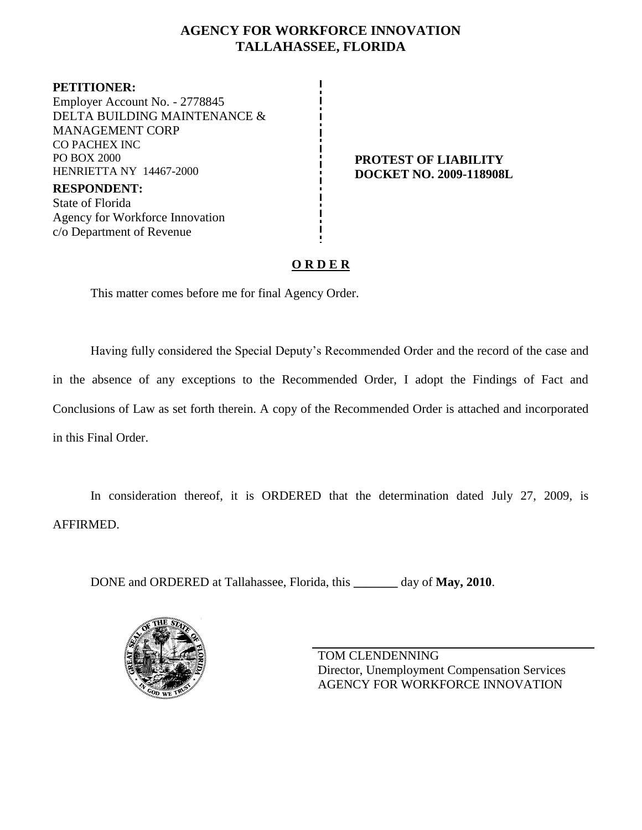# **AGENCY FOR WORKFORCE INNOVATION TALLAHASSEE, FLORIDA**

**PETITIONER:** Employer Account No. - 2778845 DELTA BUILDING MAINTENANCE & MANAGEMENT CORP CO PACHEX INC PO BOX 2000 HENRIETTA NY 14467-2000

**RESPONDENT:** State of Florida Agency for Workforce Innovation c/o Department of Revenue

#### **PROTEST OF LIABILITY DOCKET NO. 2009-118908L**

# **O R D E R**

This matter comes before me for final Agency Order.

Having fully considered the Special Deputy's Recommended Order and the record of the case and in the absence of any exceptions to the Recommended Order, I adopt the Findings of Fact and Conclusions of Law as set forth therein. A copy of the Recommended Order is attached and incorporated in this Final Order.

In consideration thereof, it is ORDERED that the determination dated July 27, 2009, is AFFIRMED.

DONE and ORDERED at Tallahassee, Florida, this **\_\_\_\_\_\_\_** day of **May, 2010**.



TOM CLENDENNING Director, Unemployment Compensation Services AGENCY FOR WORKFORCE INNOVATION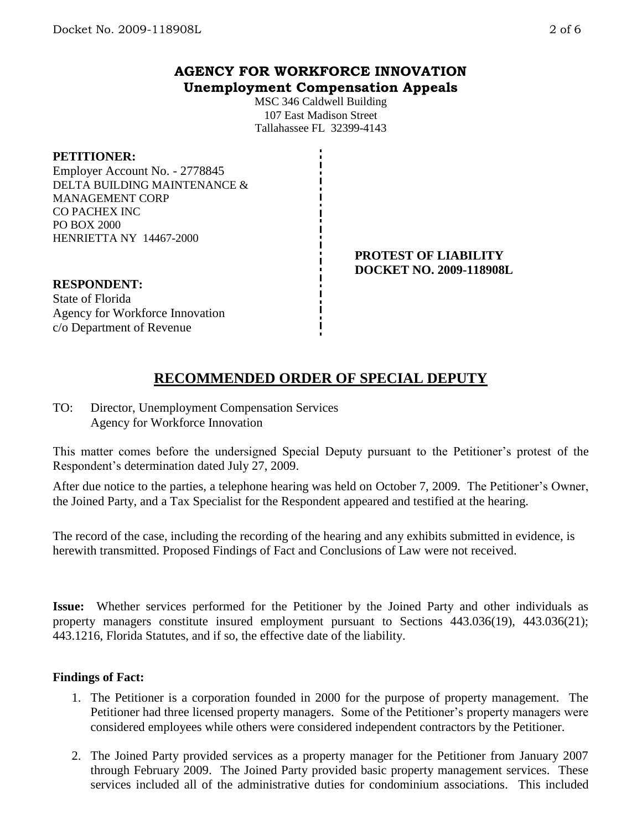## **AGENCY FOR WORKFORCE INNOVATION Unemployment Compensation Appeals**

MSC 346 Caldwell Building 107 East Madison Street Tallahassee FL 32399-4143

#### **PETITIONER:**

Employer Account No. - 2778845 DELTA BUILDING MAINTENANCE & MANAGEMENT CORP CO PACHEX INC PO BOX 2000 HENRIETTA NY 14467-2000

#### **PROTEST OF LIABILITY DOCKET NO. 2009-118908L**

## **RESPONDENT:**

State of Florida Agency for Workforce Innovation c/o Department of Revenue

# **RECOMMENDED ORDER OF SPECIAL DEPUTY**

TO: Director, Unemployment Compensation Services Agency for Workforce Innovation

This matter comes before the undersigned Special Deputy pursuant to the Petitioner's protest of the Respondent's determination dated July 27, 2009.

After due notice to the parties, a telephone hearing was held on October 7, 2009. The Petitioner's Owner, the Joined Party, and a Tax Specialist for the Respondent appeared and testified at the hearing.

The record of the case, including the recording of the hearing and any exhibits submitted in evidence, is herewith transmitted. Proposed Findings of Fact and Conclusions of Law were not received.

**Issue:** Whether services performed for the Petitioner by the Joined Party and other individuals as property managers constitute insured employment pursuant to Sections 443.036(19), 443.036(21); 443.1216, Florida Statutes, and if so, the effective date of the liability.

### **Findings of Fact:**

- 1. The Petitioner is a corporation founded in 2000 for the purpose of property management. The Petitioner had three licensed property managers. Some of the Petitioner's property managers were considered employees while others were considered independent contractors by the Petitioner.
- 2. The Joined Party provided services as a property manager for the Petitioner from January 2007 through February 2009. The Joined Party provided basic property management services. These services included all of the administrative duties for condominium associations. This included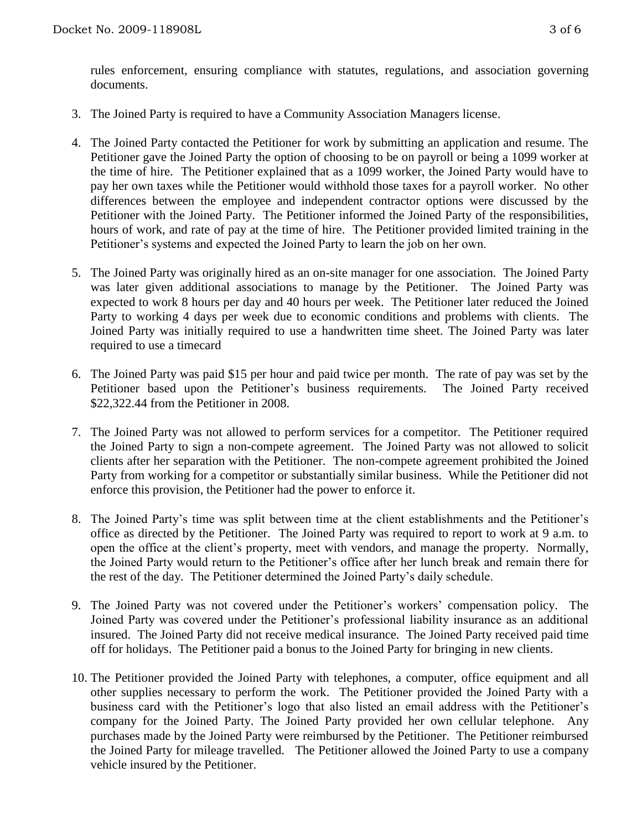rules enforcement, ensuring compliance with statutes, regulations, and association governing documents.

- 3. The Joined Party is required to have a Community Association Managers license.
- 4. The Joined Party contacted the Petitioner for work by submitting an application and resume. The Petitioner gave the Joined Party the option of choosing to be on payroll or being a 1099 worker at the time of hire. The Petitioner explained that as a 1099 worker, the Joined Party would have to pay her own taxes while the Petitioner would withhold those taxes for a payroll worker. No other differences between the employee and independent contractor options were discussed by the Petitioner with the Joined Party. The Petitioner informed the Joined Party of the responsibilities, hours of work, and rate of pay at the time of hire. The Petitioner provided limited training in the Petitioner's systems and expected the Joined Party to learn the job on her own.
- 5. The Joined Party was originally hired as an on-site manager for one association. The Joined Party was later given additional associations to manage by the Petitioner. The Joined Party was expected to work 8 hours per day and 40 hours per week. The Petitioner later reduced the Joined Party to working 4 days per week due to economic conditions and problems with clients. The Joined Party was initially required to use a handwritten time sheet. The Joined Party was later required to use a timecard
- 6. The Joined Party was paid \$15 per hour and paid twice per month. The rate of pay was set by the Petitioner based upon the Petitioner's business requirements. The Joined Party received \$22,322.44 from the Petitioner in 2008.
- 7. The Joined Party was not allowed to perform services for a competitor. The Petitioner required the Joined Party to sign a non-compete agreement. The Joined Party was not allowed to solicit clients after her separation with the Petitioner. The non-compete agreement prohibited the Joined Party from working for a competitor or substantially similar business. While the Petitioner did not enforce this provision, the Petitioner had the power to enforce it.
- 8. The Joined Party's time was split between time at the client establishments and the Petitioner's office as directed by the Petitioner. The Joined Party was required to report to work at 9 a.m. to open the office at the client's property, meet with vendors, and manage the property. Normally, the Joined Party would return to the Petitioner's office after her lunch break and remain there for the rest of the day. The Petitioner determined the Joined Party's daily schedule.
- 9. The Joined Party was not covered under the Petitioner's workers' compensation policy. The Joined Party was covered under the Petitioner's professional liability insurance as an additional insured. The Joined Party did not receive medical insurance. The Joined Party received paid time off for holidays. The Petitioner paid a bonus to the Joined Party for bringing in new clients.
- 10. The Petitioner provided the Joined Party with telephones, a computer, office equipment and all other supplies necessary to perform the work. The Petitioner provided the Joined Party with a business card with the Petitioner's logo that also listed an email address with the Petitioner's company for the Joined Party. The Joined Party provided her own cellular telephone. Any purchases made by the Joined Party were reimbursed by the Petitioner. The Petitioner reimbursed the Joined Party for mileage travelled. The Petitioner allowed the Joined Party to use a company vehicle insured by the Petitioner.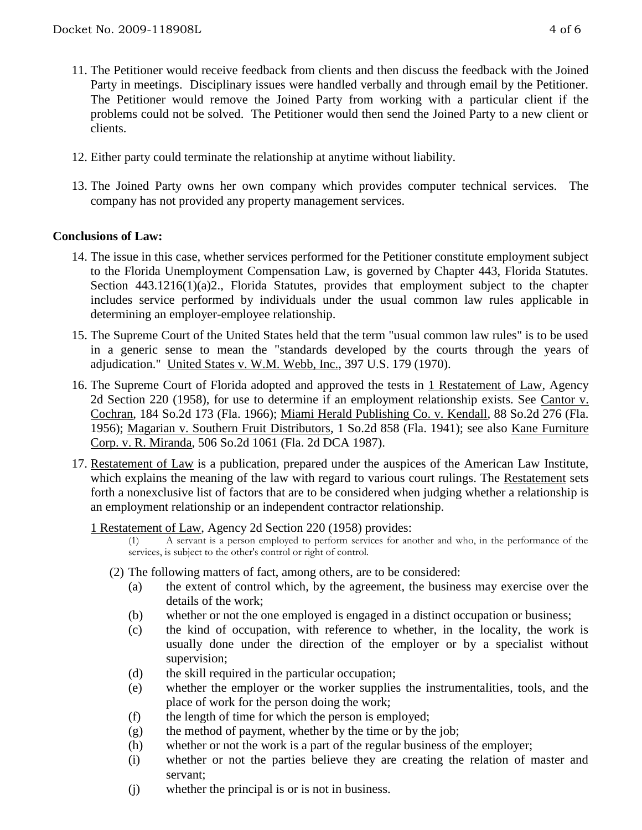- 11. The Petitioner would receive feedback from clients and then discuss the feedback with the Joined Party in meetings. Disciplinary issues were handled verbally and through email by the Petitioner. The Petitioner would remove the Joined Party from working with a particular client if the problems could not be solved. The Petitioner would then send the Joined Party to a new client or clients.
- 12. Either party could terminate the relationship at anytime without liability.
- 13. The Joined Party owns her own company which provides computer technical services. The company has not provided any property management services.

## **Conclusions of Law:**

- 14. The issue in this case, whether services performed for the Petitioner constitute employment subject to the Florida Unemployment Compensation Law, is governed by Chapter 443, Florida Statutes. Section 443.1216(1)(a)2., Florida Statutes, provides that employment subject to the chapter includes service performed by individuals under the usual common law rules applicable in determining an employer-employee relationship.
- 15. The Supreme Court of the United States held that the term "usual common law rules" is to be used in a generic sense to mean the "standards developed by the courts through the years of adjudication." United States v. W.M. Webb, Inc., 397 U.S. 179 (1970).
- 16. The Supreme Court of Florida adopted and approved the tests in 1 Restatement of Law, Agency 2d Section 220 (1958), for use to determine if an employment relationship exists. See Cantor v. Cochran, 184 So.2d 173 (Fla. 1966); Miami Herald Publishing Co. v. Kendall, 88 So.2d 276 (Fla. 1956); Magarian v. Southern Fruit Distributors, 1 So.2d 858 (Fla. 1941); see also Kane Furniture Corp. v. R. Miranda, 506 So.2d 1061 (Fla. 2d DCA 1987).
- 17. Restatement of Law is a publication, prepared under the auspices of the American Law Institute, which explains the meaning of the law with regard to various court rulings. The Restatement sets forth a nonexclusive list of factors that are to be considered when judging whether a relationship is an employment relationship or an independent contractor relationship.

1 Restatement of Law, Agency 2d Section 220 (1958) provides:

(1) A servant is a person employed to perform services for another and who, in the performance of the services, is subject to the other's control or right of control.

- (2) The following matters of fact, among others, are to be considered:
	- (a) the extent of control which, by the agreement, the business may exercise over the details of the work;
	- (b) whether or not the one employed is engaged in a distinct occupation or business;
	- (c) the kind of occupation, with reference to whether, in the locality, the work is usually done under the direction of the employer or by a specialist without supervision;
	- (d) the skill required in the particular occupation;
	- (e) whether the employer or the worker supplies the instrumentalities, tools, and the place of work for the person doing the work;
	- (f) the length of time for which the person is employed;
	- (g) the method of payment, whether by the time or by the job;
	- (h) whether or not the work is a part of the regular business of the employer;
	- (i) whether or not the parties believe they are creating the relation of master and servant;
	- (j) whether the principal is or is not in business.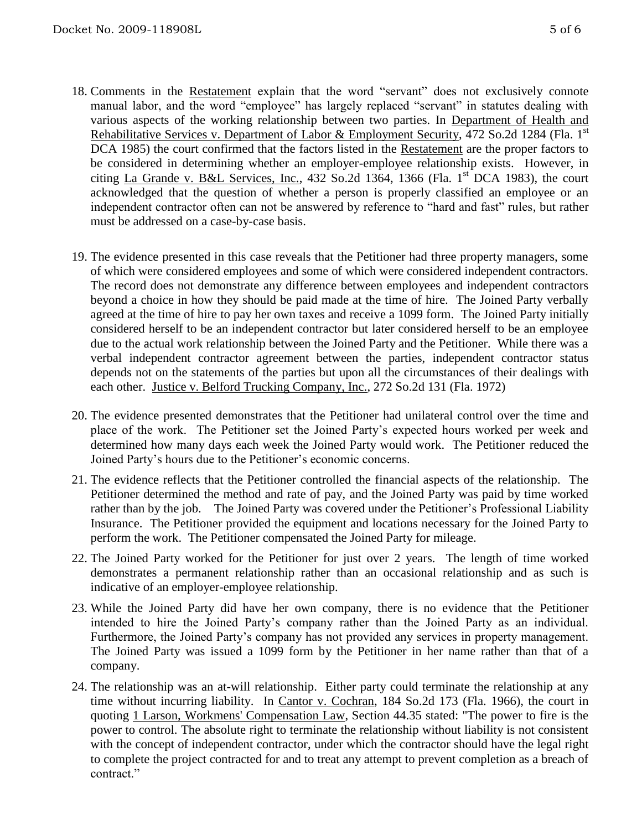- 18. Comments in the Restatement explain that the word "servant" does not exclusively connote manual labor, and the word "employee" has largely replaced "servant" in statutes dealing with various aspects of the working relationship between two parties. In Department of Health and Rehabilitative Services v. Department of Labor & Employment Security, 472 So.2d 1284 (Fla. 1<sup>st</sup> DCA 1985) the court confirmed that the factors listed in the Restatement are the proper factors to be considered in determining whether an employer-employee relationship exists. However, in citing La Grande v. B&L Services, Inc., 432 So.2d 1364, 1366 (Fla. 1st DCA 1983), the court acknowledged that the question of whether a person is properly classified an employee or an independent contractor often can not be answered by reference to "hard and fast" rules, but rather must be addressed on a case-by-case basis.
- 19. The evidence presented in this case reveals that the Petitioner had three property managers, some of which were considered employees and some of which were considered independent contractors. The record does not demonstrate any difference between employees and independent contractors beyond a choice in how they should be paid made at the time of hire. The Joined Party verbally agreed at the time of hire to pay her own taxes and receive a 1099 form. The Joined Party initially considered herself to be an independent contractor but later considered herself to be an employee due to the actual work relationship between the Joined Party and the Petitioner. While there was a verbal independent contractor agreement between the parties, independent contractor status depends not on the statements of the parties but upon all the circumstances of their dealings with each other. Justice v. Belford Trucking Company, Inc., 272 So.2d 131 (Fla. 1972)
- 20. The evidence presented demonstrates that the Petitioner had unilateral control over the time and place of the work. The Petitioner set the Joined Party's expected hours worked per week and determined how many days each week the Joined Party would work. The Petitioner reduced the Joined Party's hours due to the Petitioner's economic concerns.
- 21. The evidence reflects that the Petitioner controlled the financial aspects of the relationship. The Petitioner determined the method and rate of pay, and the Joined Party was paid by time worked rather than by the job. The Joined Party was covered under the Petitioner's Professional Liability Insurance. The Petitioner provided the equipment and locations necessary for the Joined Party to perform the work. The Petitioner compensated the Joined Party for mileage.
- 22. The Joined Party worked for the Petitioner for just over 2 years. The length of time worked demonstrates a permanent relationship rather than an occasional relationship and as such is indicative of an employer-employee relationship.
- 23. While the Joined Party did have her own company, there is no evidence that the Petitioner intended to hire the Joined Party's company rather than the Joined Party as an individual. Furthermore, the Joined Party's company has not provided any services in property management. The Joined Party was issued a 1099 form by the Petitioner in her name rather than that of a company.
- 24. The relationship was an at-will relationship. Either party could terminate the relationship at any time without incurring liability. In Cantor v. Cochran, 184 So.2d 173 (Fla. 1966), the court in quoting 1 Larson, Workmens' Compensation Law, Section 44.35 stated: "The power to fire is the power to control. The absolute right to terminate the relationship without liability is not consistent with the concept of independent contractor, under which the contractor should have the legal right to complete the project contracted for and to treat any attempt to prevent completion as a breach of contract."